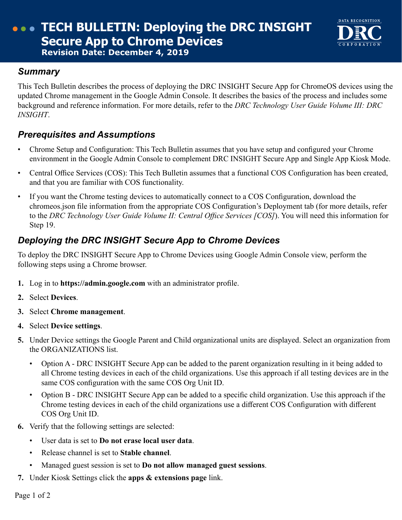# **TECH BULLETIN: Deploying the DRC INSIGHT Secure App to Chrome Devices Revision Date: December 4, 2019**

#### *Summary*

This Tech Bulletin describes the process of deploying the DRC INSIGHT Secure App for ChromeOS devices using the updated Chrome management in the Google Admin Console. It describes the basics of the process and includes some background and reference information. For more details, refer to the *DRC Technology User Guide Volume III: DRC INSIGHT*.

DATA RECOGNITION

### *Prerequisites and Assumptions*

- Chrome Setup and Configuration: This Tech Bulletin assumes that you have setup and configured your Chrome environment in the Google Admin Console to complement DRC INSIGHT Secure App and Single App Kiosk Mode.
- Central Office Services (COS): This Tech Bulletin assumes that a functional COS Configuration has been created, and that you are familiar with COS functionality.
- If you want the Chrome testing devices to automatically connect to a COS Configuration, download the chromeos.json file information from the appropriate COS Configuration's Deployment tab (for more details, refer to the *DRC Technology User Guide Volume II: Central Office Services [COS]*). You will need this information for Step 19.

## *Deploying the DRC INSIGHT Secure App to Chrome Devices*

To deploy the DRC INSIGHT Secure App to Chrome Devices using Google Admin Console view, perform the following steps using a Chrome browser.

- **1.** Log in to **https://admin.google.com** with an administrator profile.
- **2.** Select **Devices**.
- **3.** Select **Chrome management**.
- **4.** Select **Device settings**.
- **5.** Under Device settings the Google Parent and Child organizational units are displayed. Select an organization from the ORGANIZATIONS list.
	- Option A DRC INSIGHT Secure App can be added to the parent organization resulting in it being added to all Chrome testing devices in each of the child organizations. Use this approach if all testing devices are in the same COS configuration with the same COS Org Unit ID.
	- Option B DRC INSIGHT Secure App can be added to a specific child organization. Use this approach if the Chrome testing devices in each of the child organizations use a different COS Configuration with different COS Org Unit ID.
- **6.** Verify that the following settings are selected:
	- User data is set to **Do not erase local user data**.
	- Release channel is set to **Stable channel**.
	- Managed guest session is set to **Do not allow managed guest sessions**.
- **7.** Under Kiosk Settings click the **apps & extensions page** link.